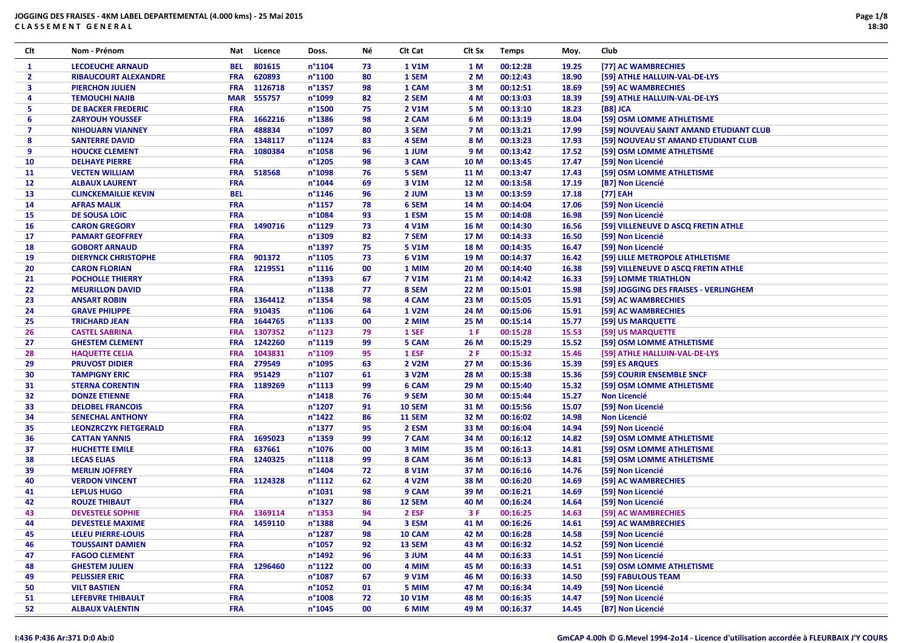| Clt            | Nom - Prénom                 | Nat        | Licence           | Doss.            | Νé | CIt Cat       | Clt Sx | <b>Temps</b> | Moy.  | Club                                   |
|----------------|------------------------------|------------|-------------------|------------------|----|---------------|--------|--------------|-------|----------------------------------------|
| $\mathbf{1}$   | <b>LECOEUCHE ARNAUD</b>      | <b>BEL</b> | 801615            | $n^{\circ}1104$  | 73 | <b>1 V1M</b>  | 1 M    | 00:12:28     | 19.25 | [77] AC WAMBRECHIES                    |
| $\mathbf{2}$   | <b>RIBAUCOURT ALEXANDRE</b>  | <b>FRA</b> | 620893            | $n^{\circ}1100$  | 80 | 1 SEM         | 2 M    | 00:12:43     | 18.90 | [59] ATHLE HALLUIN-VAL-DE-LYS          |
| 3              | <b>PIERCHON JULIEN</b>       | <b>FRA</b> | 1126718           | n°1357           | 98 | 1 CAM         | 3 M    | 00:12:51     | 18.69 | [59] AC WAMBRECHIES                    |
| 4              | <b>TEMOUCHI NAJIB</b>        |            | <b>MAR 555757</b> | n°1099           | 82 | 2 SEM         | 4 M    | 00:13:03     | 18.39 | [59] ATHLE HALLUIN-VAL-DE-LYS          |
| 5.             | <b>DE BACKER FREDERIC</b>    | <b>FRA</b> |                   | n°1500           | 75 | 2 V1M         | 5 M    | 00:13:10     | 18.23 | [B8] JCA                               |
| 6              | <b>ZARYOUH YOUSSEF</b>       | <b>FRA</b> | 1662216           | n°1386           | 98 | 2 CAM         | 6 M    | 00:13:19     | 18.04 | [59] OSM LOMME ATHLETISME              |
| $\overline{7}$ | <b>NIHOUARN VIANNEY</b>      | <b>FRA</b> | 488834            | n°1097           | 80 | 3 SEM         | 7 M    | 00:13:21     | 17.99 | [59] NOUVEAU SAINT AMAND ETUDIANT CLUB |
| 8              | <b>SANTERRE DAVID</b>        | <b>FRA</b> | 1348117           | $n^{\circ}$ 1124 | 83 | 4 SEM         | 8 M    | 00:13:23     | 17.93 | [59] NOUVEAU ST AMAND ETUDIANT CLUB    |
| 9              | <b>HOUCKE CLEMENT</b>        | <b>FRA</b> | 1080384           | n°1058           | 96 | 1 JUM         | 9 M    | 00:13:42     | 17.52 | [59] OSM LOMME ATHLETISME              |
| 10             | <b>DELHAYE PIERRE</b>        | <b>FRA</b> |                   | n°1205           | 98 | 3 CAM         | 10 M   | 00:13:45     | 17.47 | [59] Non Licencié                      |
| 11             | <b>VECTEN WILLIAM</b>        | <b>FRA</b> | 518568            | n°1098           | 76 | 5 SEM         | 11 M   | 00:13:47     | 17.43 | [59] OSM LOMME ATHLETISME              |
| 12             | <b>ALBAUX LAURENT</b>        | <b>FRA</b> |                   | $n^{\circ}1044$  | 69 | 3 V1M         | 12 M   | 00:13:58     | 17.19 | [B7] Non Licencié                      |
| 13             | <b>CLINCKEMAILLIE KEVIN</b>  | <b>BEL</b> |                   | $n^{\circ}$ 1146 | 96 | 2 JUM         | 13 M   | 00:13:59     | 17.18 | [77] EAH                               |
| 14             | <b>AFRAS MALIK</b>           | <b>FRA</b> |                   | n°1157           | 78 | 6 SEM         | 14 M   | 00:14:04     | 17.06 | [59] Non Licencié                      |
| 15             | <b>DE SOUSA LOIC</b>         | <b>FRA</b> |                   | n°1084           | 93 | 1 ESM         | 15 M   | 00:14:08     | 16.98 | [59] Non Licencié                      |
| 16             | <b>CARON GREGORY</b>         | <b>FRA</b> | 1490716           | n°1129           | 73 | 4 V1M         | 16 M   | 00:14:30     | 16.56 | [59] VILLENEUVE D ASCQ FRETIN ATHLE    |
| 17             | <b>PAMART GEOFFREY</b>       | <b>FRA</b> |                   | n°1309           | 82 | 7 SEM         | 17 M   | 00:14:33     | 16.50 | [59] Non Licencié                      |
| 18             | <b>GOBORT ARNAUD</b>         | <b>FRA</b> |                   | n°1397           | 75 | 5 V1M         | 18 M   | 00:14:35     | 16.47 | [59] Non Licencié                      |
| 19             | <b>DIERYNCK CHRISTOPHE</b>   | <b>FRA</b> | 901372            | n°1105           | 73 | 6 V1M         | 19 M   | 00:14:37     | 16.42 | [59] LILLE METROPOLE ATHLETISME        |
| 20             | <b>CARON FLORIAN</b>         | <b>FRA</b> | 1219551           | $n^{\circ}1116$  | 00 | 1 MIM         | 20 M   | 00:14:40     | 16.38 | [59] VILLENEUVE D ASCQ FRETIN ATHLE    |
| 21             | <b>POCHOLLE THIERRY</b>      | <b>FRA</b> |                   | n°1393           | 67 | <b>7 V1M</b>  | 21 M   | 00:14:42     | 16.33 | [59] LOMME TRIATHLON                   |
| 22             | <b>MEURILLON DAVID</b>       | <b>FRA</b> |                   | n°1138           | 77 | 8 SEM         | 22 M   | 00:15:01     | 15.98 | [59] JOGGING DES FRAISES - VERLINGHEM  |
| 23             | <b>ANSART ROBIN</b>          | <b>FRA</b> | 1364412           | n°1354           | 98 | 4 CAM         | 23 M   | 00:15:05     | 15.91 | [59] AC WAMBRECHIES                    |
| 24             | <b>GRAVE PHILIPPE</b>        | <b>FRA</b> | 910435            | $n^{\circ}1106$  | 64 | 1 V2M         | 24 M   | 00:15:06     | 15.91 | [59] AC WAMBRECHIES                    |
| 25             | <b>TRICHARD JEAN</b>         | <b>FRA</b> | 1644765           | n°1133           | 00 | 2 MIM         | 25 M   | 00:15:14     | 15.77 | [59] US MARQUETTE                      |
| 26             | <b>CASTEL SABRINA</b>        | <b>FRA</b> | 1307352           | $n^{\circ}1123$  | 79 | 1 SEF         | 1 F    | 00:15:28     | 15.53 | [59] US MARQUETTE                      |
| 27             | <b>GHESTEM CLEMENT</b>       | <b>FRA</b> | 1242260           | n°1119           | 99 | 5 CAM         | 26 M   | 00:15:29     | 15.52 | [59] OSM LOMME ATHLETISME              |
| 28             | <b>HAQUETTE CELIA</b>        | <b>FRA</b> | 1043831           | n°1109           | 95 | 1 ESF         | 2F     | 00:15:32     | 15.46 | [59] ATHLE HALLUIN-VAL-DE-LYS          |
| 29             | <b>PRUVOST DIDIER</b>        | <b>FRA</b> | 279549            | n°1095           | 63 | 2 V2M         | 27 M   | 00:15:36     | 15.39 | [59] ES ARQUES                         |
| 30             | <b>TAMPIGNY ERIC</b>         | <b>FRA</b> | 951429            | n°1107           | 61 | 3 V2M         | 28 M   | 00:15:38     | 15.36 | [59] COURIR ENSEMBLE SNCF              |
| 31             | <b>STERNA CORENTIN</b>       | <b>FRA</b> | 1189269           | $n^{\circ}1113$  | 99 | 6 CAM         | 29 M   | 00:15:40     | 15.32 | [59] OSM LOMME ATHLETISME              |
| 32             | <b>DONZE ETIENNE</b>         | <b>FRA</b> |                   | n°1418           | 76 | 9 SEM         | 30 M   | 00:15:44     | 15.27 | <b>Non Licencié</b>                    |
| 33             | <b>DELOBEL FRANCOIS</b>      | <b>FRA</b> |                   | n°1207           | 91 | <b>10 SEM</b> | 31 M   | 00:15:56     | 15.07 | [59] Non Licencié                      |
| 34             | <b>SENECHAL ANTHONY</b>      | <b>FRA</b> |                   | $n^{\circ}$ 1422 | 86 | <b>11 SEM</b> | 32 M   | 00:16:02     | 14.98 | <b>Non Licencié</b>                    |
| 35             | <b>LEONZRCZYK FIETGERALD</b> | <b>FRA</b> |                   | n°1377           | 95 | 2 ESM         | 33 M   | 00:16:04     | 14.94 | [59] Non Licencié                      |
| 36             | <b>CATTAN YANNIS</b>         | <b>FRA</b> | 1695023           | n°1359           | 99 | 7 CAM         | 34 M   | 00:16:12     | 14.82 | [59] OSM LOMME ATHLETISME              |
| 37             | <b>HUCHETTE EMILE</b>        | <b>FRA</b> | 637661            | n°1076           | 00 | 3 MIM         | 35 M   | 00:16:13     | 14.81 | [59] OSM LOMME ATHLETISME              |
| 38             | <b>LECAS ELIAS</b>           | <b>FRA</b> | 1240325           | $n^{\circ}1118$  | 99 | 8 CAM         | 36 M   | 00:16:13     | 14.81 | [59] OSM LOMME ATHLETISME              |
| 39             | <b>MERLIN JOFFREY</b>        | <b>FRA</b> |                   | n°1404           | 72 | 8 V1M         | 37 M   | 00:16:16     | 14.76 | [59] Non Licencié                      |
| 40             | <b>VERDON VINCENT</b>        | <b>FRA</b> | 1124328           | $n^{\circ}1112$  | 62 | 4 V2M         | 38 M   | 00:16:20     | 14.69 | [59] AC WAMBRECHIES                    |
| 41             | <b>LEPLUS HUGO</b>           | <b>FRA</b> |                   | n°1031           | 98 | 9 CAM         | 39 M   | 00:16:21     | 14.69 | [59] Non Licencié                      |
| 42             | <b>ROUZE THIBAUT</b>         | <b>FRA</b> |                   | n°1327           | 86 | 12 SEM        | 40 M   | 00:16:24     | 14.64 | [59] Non Licencié                      |
| 43             | <b>DEVESTELE SOPHIE</b>      | <b>FRA</b> | 1369114           | n°1353           | 94 | 2 ESF         | 3 F    | 00:16:25     | 14.63 | [59] AC WAMBRECHIES                    |
| 44             | <b>DEVESTELE MAXIME</b>      | <b>FRA</b> | 1459110           | n°1388           | 94 | 3 ESM         | 41 M   | 00:16:26     | 14.61 | [59] AC WAMBRECHIES                    |
| 45             | <b>LELEU PIERRE-LOUIS</b>    | <b>FRA</b> |                   | n°1287           | 98 | 10 CAM        | 42 M   | 00:16:28     | 14.58 | [59] Non Licencié                      |
| 46             | <b>TOUSSAINT DAMIEN</b>      | <b>FRA</b> |                   | n°1057           | 92 | 13 SEM        | 43 M   | 00:16:32     | 14.52 | [59] Non Licencié                      |
| 47             | <b>FAGOO CLEMENT</b>         | <b>FRA</b> |                   | n°1492           | 96 | 3 JUM         | 44 M   | 00:16:33     | 14.51 | [59] Non Licencié                      |
| 48             | <b>GHESTEM JULIEN</b>        | <b>FRA</b> | 1296460           | $n^{\circ}1122$  | 00 | 4 MIM         | 45 M   | 00:16:33     | 14.51 | [59] OSM LOMME ATHLETISME              |
| 49             | <b>PELISSIER ERIC</b>        | <b>FRA</b> |                   | n°1087           | 67 | 9 V1M         | 46 M   | 00:16:33     | 14.50 | [59] FABULOUS TEAM                     |
| 50             | <b>VILT BASTIEN</b>          | <b>FRA</b> |                   | $n^{\circ}$ 1052 | 01 | 5 MIM         | 47 M   | 00:16:34     | 14.49 | [59] Non Licencié                      |
| 51             | <b>LEFEBVRE THIBAULT</b>     | <b>FRA</b> |                   | $n^{\circ}1008$  | 72 | <b>10 V1M</b> | 48 M   | 00:16:35     | 14.47 | [59] Non Licencié                      |
| 52             | <b>ALBAUX VALENTIN</b>       | <b>FRA</b> |                   | $n^{\circ}$ 1045 | 00 | 6 MIM         | 49 M   | 00:16:37     | 14.45 | [B7] Non Licencié                      |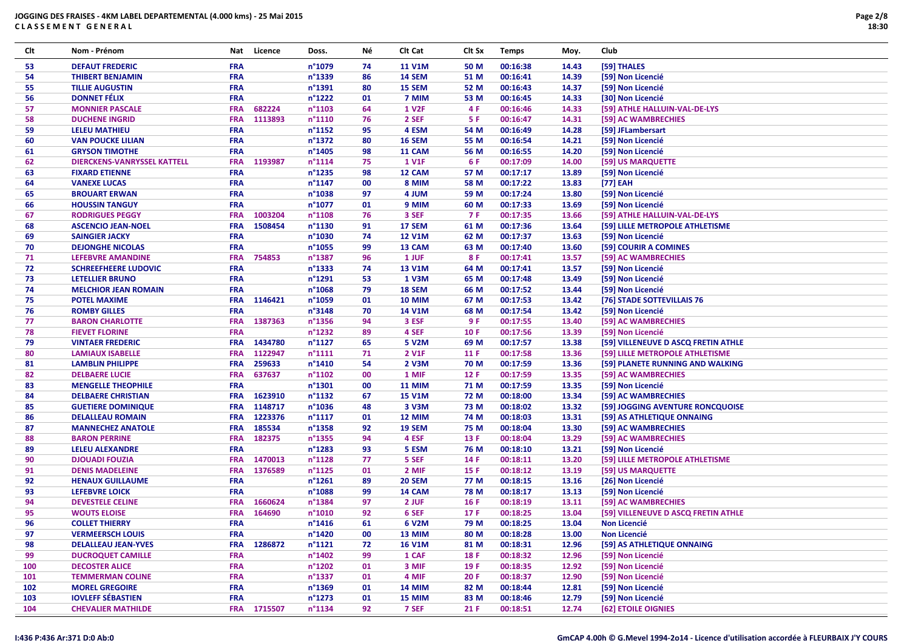| Clt | Nom - Prénom                       | Nat        | Licence     | Doss.            | Νé | Clt Cat            | Clt Sx | <b>Temps</b> | Moy.  | Club                                |
|-----|------------------------------------|------------|-------------|------------------|----|--------------------|--------|--------------|-------|-------------------------------------|
| 53  | <b>DEFAUT FREDERIC</b>             | <b>FRA</b> |             | n°1079           | 74 | <b>11 V1M</b>      | 50 M   | 00:16:38     | 14.43 | [59] THALES                         |
| 54  | <b>THIBERT BENJAMIN</b>            | <b>FRA</b> |             | n°1339           | 86 | 14 SEM             | 51 M   | 00:16:41     | 14.39 | [59] Non Licencié                   |
| 55  | <b>TILLIE AUGUSTIN</b>             | <b>FRA</b> |             | n°1391           | 80 | 15 SEM             | 52 M   | 00:16:43     | 14.37 | [59] Non Licencié                   |
| 56  | <b>DONNET FÉLIX</b>                | <b>FRA</b> |             | $n^{\circ}$ 1222 | 01 | 7 MIM              | 53 M   | 00:16:45     | 14.33 | [30] Non Licencié                   |
| 57  | <b>MONNIER PASCALE</b>             | <b>FRA</b> | 682224      | $n^{\circ}$ 1103 | 64 | <b>1 V2F</b>       | 4 F    | 00:16:46     | 14.33 | [59] ATHLE HALLUIN-VAL-DE-LYS       |
| 58  | <b>DUCHENE INGRID</b>              | <b>FRA</b> | 1113893     | $n^{\circ}1110$  | 76 | 2 SEF              | 5 F    | 00:16:47     | 14.31 | [59] AC WAMBRECHIES                 |
| 59  | <b>LELEU MATHIEU</b>               | <b>FRA</b> |             | $n^{\circ}$ 1152 | 95 | 4 ESM              | 54 M   | 00:16:49     | 14.28 | [59] JFLambersart                   |
| 60  | <b>VAN POUCKE LILIAN</b>           | <b>FRA</b> |             | n°1372           | 80 | <b>16 SEM</b>      | 55 M   | 00:16:54     | 14.21 | [59] Non Licencié                   |
| 61  | <b>GRYSON TIMOTHE</b>              | <b>FRA</b> |             | $n^{\circ}$ 1405 | 98 | 11 CAM             | 56 M   | 00:16:55     | 14.20 | [59] Non Licencié                   |
| 62  | <b>DIERCKENS-VANRYSSEL KATTELL</b> | <b>FRA</b> | 1193987     | $n^{\circ}$ 1114 | 75 | <b>1 V1F</b>       | 6 F    | 00:17:09     | 14.00 | [59] US MARQUETTE                   |
| 63  | <b>FIXARD ETIENNE</b>              | <b>FRA</b> |             | $n^{\circ}$ 1235 | 98 | 12 CAM             | 57 M   | 00:17:17     | 13.89 | [59] Non Licencié                   |
| 64  | <b>VANEXE LUCAS</b>                | <b>FRA</b> |             | $n^{\circ}$ 1147 | 00 | 8 MIM              | 58 M   | 00:17:22     | 13.83 | [77] EAH                            |
| 65  | <b>BROUART ERWAN</b>               | <b>FRA</b> |             | $n^{\circ}$ 1038 | 97 | 4 JUM              | 59 M   | 00:17:24     | 13.80 | [59] Non Licencié                   |
| 66  | <b>HOUSSIN TANGUY</b>              | <b>FRA</b> |             | n°1077           | 01 | 9 MIM              | 60 M   | 00:17:33     | 13.69 | [59] Non Licencié                   |
| 67  | <b>RODRIGUES PEGGY</b>             | <b>FRA</b> | 1003204     | $n^{\circ}$ 1108 | 76 | 3 SEF              | 7 F    | 00:17:35     | 13.66 | [59] ATHLE HALLUIN-VAL-DE-LYS       |
| 68  | <b>ASCENCIO JEAN-NOEL</b>          | <b>FRA</b> | 1508454     | $n^{\circ}$ 1130 | 91 | 17 SEM             | 61 M   | 00:17:36     | 13.64 | [59] LILLE METROPOLE ATHLETISME     |
| 69  | <b>SAINGIER JACKY</b>              | <b>FRA</b> |             | $n^{\circ}1030$  | 74 | <b>12 V1M</b>      | 62 M   | 00:17:37     | 13.63 | [59] Non Licencié                   |
| 70  | <b>DEJONGHE NICOLAS</b>            | <b>FRA</b> |             | $n^{\circ}$ 1055 | 99 | 13 CAM             | 63 M   | 00:17:40     | 13.60 | [59] COURIR A COMINES               |
| 71  | LEFEBVRE AMANDINE                  | <b>FRA</b> | 754853      | n°1387           | 96 | 1 JUF              | 8F     | 00:17:41     | 13.57 | [59] AC WAMBRECHIES                 |
| 72  | <b>SCHREEFHEERE LUDOVIC</b>        | <b>FRA</b> |             | $n^{\circ}$ 1333 | 74 | <b>13 V1M</b>      | 64 M   | 00:17:41     | 13.57 | [59] Non Licencié                   |
| 73  | <b>LETELLIER BRUNO</b>             | <b>FRA</b> |             | $n^{\circ}$ 1291 | 53 | 1 V3M              | 65 M   | 00:17:48     | 13.49 | [59] Non Licencié                   |
| 74  | <b>MELCHIOR JEAN ROMAIN</b>        | <b>FRA</b> |             | $n^{\circ}$ 1068 | 79 | 18 SEM             | 66 M   | 00:17:52     | 13.44 | [59] Non Licencié                   |
| 75  | <b>POTEL MAXIME</b>                | <b>FRA</b> | 1146421     | $n^{\circ}1059$  | 01 | <b>10 MIM</b>      | 67 M   | 00:17:53     | 13.42 | [76] STADE SOTTEVILLAIS 76          |
| 76  | <b>ROMBY GILLES</b>                | <b>FRA</b> |             | n°3148           | 70 | <b>14 V1M</b>      | 68 M   | 00:17:54     | 13.42 | [59] Non Licencié                   |
| 77  | <b>BARON CHARLOTTE</b>             | <b>FRA</b> | 1387363     | $n^{\circ}$ 1356 | 94 | 3 ESF              | 9 F    | 00:17:55     | 13.40 | [59] AC WAMBRECHIES                 |
| 78  | <b>FIEVET FLORINE</b>              | <b>FRA</b> |             | $n^{\circ}$ 1232 | 89 | 4 SEF              | 10 F   | 00:17:56     | 13.39 | [59] Non Licencié                   |
| 79  | <b>VINTAER FREDERIC</b>            |            | FRA 1434780 | $n^{\circ}1127$  | 65 | 5 V <sub>2</sub> M | 69 M   | 00:17:57     | 13.38 | [59] VILLENEUVE D ASCQ FRETIN ATHLE |
| 80  | <b>LAMIAUX ISABELLE</b>            | <b>FRA</b> | 1122947     | $n^{\circ}1111$  | 71 | 2 V1F              | 11 F   | 00:17:58     | 13.36 | [59] LILLE METROPOLE ATHLETISME     |
| 81  | <b>LAMBLIN PHILIPPE</b>            | <b>FRA</b> | 259633      | $n^{\circ}$ 1410 | 54 | 2 V3M              | 70 M   | 00:17:59     | 13.36 | [59] PLANETE RUNNING AND WALKING    |
| 82  | <b>DELBAERE LUCIE</b>              | <b>FRA</b> | 637637      | $n^{\circ}1102$  | 00 | 1 MIF              | 12 F   | 00:17:59     | 13.35 | [59] AC WAMBRECHIES                 |
| 83  | <b>MENGELLE THEOPHILE</b>          | <b>FRA</b> |             | $n^{\circ}$ 1301 | 00 | <b>11 MIM</b>      | 71 M   | 00:17:59     | 13.35 | [59] Non Licencié                   |
| 84  | <b>DELBAERE CHRISTIAN</b>          | <b>FRA</b> | 1623910     | $n^{\circ}$ 1132 | 67 | <b>15 V1M</b>      | 72 M   | 00:18:00     | 13.34 | [59] AC WAMBRECHIES                 |
| 85  | <b>GUETIERE DOMINIQUE</b>          | <b>FRA</b> | 1148717     | $n^{\circ}$ 1036 | 48 | 3 V3M              | 73 M   | 00:18:02     | 13.32 | [59] JOGGING AVENTURE RONCQUOISE    |
| 86  | <b>DELALLEAU ROMAIN</b>            | <b>FRA</b> | 1223376     | $n^{\circ}1117$  | 01 | 12 MIM             | 74 M   | 00:18:03     | 13.31 | [59] AS ATHLETIQUE ONNAING          |
| 87  | <b>MANNECHEZ ANATOLE</b>           | <b>FRA</b> | 185534      | $n^{\circ}$ 1358 | 92 | <b>19 SEM</b>      | 75 M   | 00:18:04     | 13.30 | [59] AC WAMBRECHIES                 |
| 88  | <b>BARON PERRINE</b>               | <b>FRA</b> | 182375      | $n^{\circ}$ 1355 | 94 | 4 ESF              | 13 F   | 00:18:04     | 13.29 | [59] AC WAMBRECHIES                 |
| 89  | <b>LELEU ALEXANDRE</b>             | <b>FRA</b> |             | $n^{\circ}$ 1283 | 93 | 5 ESM              | 76 M   | 00:18:10     | 13.21 | [59] Non Licencié                   |
| 90  | <b>DJOUADI FOUZIA</b>              | <b>FRA</b> | 1470013     | $n^{\circ}$ 1128 | 77 | 5 SEF              | 14 F   | 00:18:11     | 13.20 | [59] LILLE METROPOLE ATHLETISME     |
| 91  | <b>DENIS MADELEINE</b>             | <b>FRA</b> | 1376589     | $n^{\circ}$ 1125 | 01 | 2 MIF              | 15 F   | 00:18:12     | 13.19 | [59] US MARQUETTE                   |
| 92  | <b>HENAUX GUILLAUME</b>            | <b>FRA</b> |             | $n^{\circ}$ 1261 | 89 | <b>20 SEM</b>      | 77 M   | 00:18:15     | 13.16 | [26] Non Licencié                   |
| 93  | <b>LEFEBVRE LOICK</b>              | <b>FRA</b> |             | $n^{\circ}$ 1088 | 99 | 14 CAM             | 78 M   | 00:18:17     | 13.13 | [59] Non Licencié                   |
| 94  | <b>DEVESTELE CELINE</b>            | <b>FRA</b> | 1660624     | n°1384           | 97 | 2 JUF              | 16 F   | 00:18:19     | 13.11 | [59] AC WAMBRECHIES                 |
| 95  | <b>WOUTS ELOISE</b>                | <b>FRA</b> | 164690      | $n^{\circ}1010$  | 92 | 6 SEF              | 17 F   | 00:18:25     | 13.04 | [59] VILLENEUVE D ASCQ FRETIN ATHLE |
| 96  | <b>COLLET THIERRY</b>              | <b>FRA</b> |             | $n^{\circ}$ 1416 | 61 | 6 V2M              | 79 M   | 00:18:25     | 13.04 | <b>Non Licencié</b>                 |
| 97  | <b>VERMEERSCH LOUIS</b>            | <b>FRA</b> |             | $n^{\circ}$ 1420 | 00 | 13 MIM             | 80 M   | 00:18:28     | 13.00 | <b>Non Licencié</b>                 |
| 98  | <b>DELALLEAU JEAN-YVES</b>         | <b>FRA</b> | 1286872     | $n^{\circ}1121$  | 72 | <b>16 V1M</b>      | 81 M   | 00:18:31     | 12.96 | [59] AS ATHLETIQUE ONNAING          |
| 99  | <b>DUCROQUET CAMILLE</b>           | <b>FRA</b> |             | $n^{\circ}$ 1402 | 99 | 1 CAF              | 18 F   | 00:18:32     | 12.96 | [59] Non Licencié                   |
| 100 | <b>DECOSTER ALICE</b>              | <b>FRA</b> |             | $n^{\circ}$ 1202 | 01 | 3 MIF              | 19 F   | 00:18:35     | 12.92 | [59] Non Licencié                   |
| 101 | <b>TEMMERMAN COLINE</b>            | <b>FRA</b> |             | $n^{\circ}$ 1337 | 01 | 4 MIF              | 20 F   | 00:18:37     | 12.90 | [59] Non Licencié                   |
| 102 | <b>MOREL GREGOIRE</b>              | <b>FRA</b> |             | $n^{\circ}$ 1369 | 01 | <b>14 MIM</b>      | 82 M   | 00:18:44     | 12.81 | [59] Non Licencié                   |
| 103 | <b>IOVLEFF SÉBASTIEN</b>           | <b>FRA</b> |             | $n^{\circ}$ 1273 | 01 | 15 MIM             | 83 M   | 00:18:46     | 12.79 | [59] Non Licencié                   |
| 104 | <b>CHEVALIER MATHILDE</b>          |            | FRA 1715507 | $n^{\circ}$ 1134 | 92 | 7 SEF              | 21 F   | 00:18:51     | 12.74 | [62] ETOILE OIGNIES                 |
|     |                                    |            |             |                  |    |                    |        |              |       |                                     |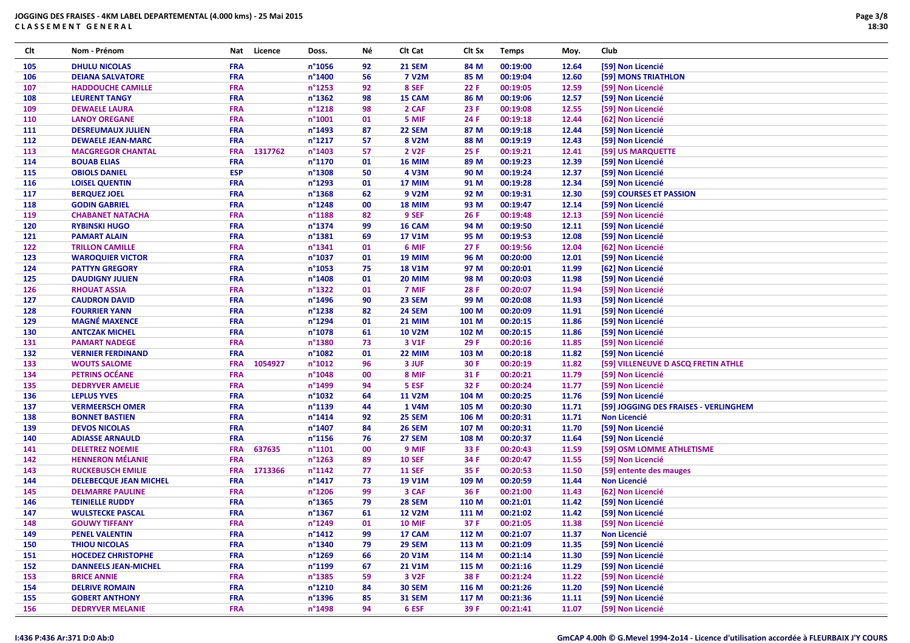| Clt | Nom - Prénom                  | Nat        | Licence | Doss.            | Νé | CIt Cat            | Clt Sx | <b>Temps</b> | Moy.  | Club                                  |
|-----|-------------------------------|------------|---------|------------------|----|--------------------|--------|--------------|-------|---------------------------------------|
| 105 | <b>DHULU NICOLAS</b>          | <b>FRA</b> |         | $n^{\circ}$ 1056 | 92 | <b>21 SEM</b>      | 84 M   | 00:19:00     | 12.64 | [59] Non Licencié                     |
| 106 | <b>DEIANA SALVATORE</b>       | <b>FRA</b> |         | n°1400           | 56 | <b>7 V2M</b>       | 85 M   | 00:19:04     | 12.60 | [59] MONS TRIATHLON                   |
| 107 | <b>HADDOUCHE CAMILLE</b>      | <b>FRA</b> |         | n°1253           | 92 | 8 SEF              | 22 F   | 00:19:05     | 12.59 | [59] Non Licencié                     |
| 108 | <b>LEURENT TANGY</b>          | <b>FRA</b> |         | n°1362           | 98 | 15 CAM             | 86 M   | 00:19:06     | 12.57 | [59] Non Licencié                     |
| 109 | <b>DEWAELE LAURA</b>          | <b>FRA</b> |         | n°1218           | 98 | 2 CAF              | 23 F   | 00:19:08     | 12.55 | [59] Non Licencié                     |
| 110 | <b>LANOY OREGANE</b>          | <b>FRA</b> |         | n°1001           | 01 | 5 MIF              | 24 F   | 00:19:18     | 12.44 | [62] Non Licencié                     |
| 111 | <b>DESREUMAUX JULIEN</b>      | <b>FRA</b> |         | n°1493           | 87 | <b>22 SEM</b>      | 87 M   | 00:19:18     | 12.44 | [59] Non Licencié                     |
| 112 | <b>DEWAELE JEAN-MARC</b>      | <b>FRA</b> |         | n°1217           | 57 | 8 V2M              | 88 M   | 00:19:19     | 12.43 | [59] Non Licencié                     |
| 113 | <b>MACGREGOR CHANTAL</b>      | <b>FRA</b> | 1317762 | n°1403           | 57 | 2 V <sub>2</sub> F | 25 F   | 00:19:21     | 12.41 | [59] US MARQUETTE                     |
| 114 | <b>BOUAB ELIAS</b>            | FRA        |         | n°1170           | 01 | <b>16 MIM</b>      | 89 M   | 00:19:23     | 12.39 | [59] Non Licencié                     |
| 115 | <b>OBIOLS DANIEL</b>          | <b>ESP</b> |         | n°1308           | 50 | 4 V3M              | 90 M   | 00:19:24     | 12.37 | [59] Non Licencié                     |
| 116 | <b>LOISEL QUENTIN</b>         | <b>FRA</b> |         | n°1293           | 01 | 17 MIM             | 91 M   | 00:19:28     | 12.34 | [59] Non Licencié                     |
| 117 | <b>BERQUEZ JOEL</b>           | <b>FRA</b> |         | n°1368           | 62 | 9 V2M              | 92 M   | 00:19:31     | 12.30 | [59] COURSES ET PASSION               |
| 118 | <b>GODIN GABRIEL</b>          | <b>FRA</b> |         | n°1248           | 00 | <b>18 MIM</b>      | 93 M   | 00:19:47     | 12.14 | [59] Non Licencié                     |
| 119 | <b>CHABANET NATACHA</b>       | <b>FRA</b> |         | n°1188           | 82 | 9 SEF              | 26 F   | 00:19:48     | 12.13 | [59] Non Licencié                     |
| 120 | <b>RYBINSKI HUGO</b>          | <b>FRA</b> |         | n°1374           | 99 | 16 CAM             | 94 M   | 00:19:50     | 12.11 | [59] Non Licencié                     |
| 121 | <b>PAMART ALAIN</b>           | <b>FRA</b> |         | n°1381           | 69 | <b>17 V1M</b>      | 95 M   | 00:19:53     | 12.08 | [59] Non Licencié                     |
| 122 | <b>TRILLON CAMILLE</b>        | <b>FRA</b> |         | n°1341           | 01 | 6 MIF              | 27 F   | 00:19:56     | 12.04 | [62] Non Licencié                     |
| 123 | <b>WAROQUIER VICTOR</b>       | <b>FRA</b> |         | n°1037           | 01 | <b>19 MIM</b>      | 96 M   | 00:20:00     | 12.01 | [59] Non Licencié                     |
| 124 | <b>PATTYN GREGORY</b>         | FRA        |         | n°1053           | 75 | <b>18 V1M</b>      | 97 M   | 00:20:01     | 11.99 | [62] Non Licencié                     |
| 125 | <b>DAUDIGNY JULIEN</b>        | <b>FRA</b> |         | n°1408           | 01 | <b>20 MIM</b>      | 98 M   | 00:20:03     | 11.98 | [59] Non Licencié                     |
| 126 | <b>RHOUAT ASSIA</b>           | <b>FRA</b> |         | n°1322           | 01 | 7 MIF              | 28 F   | 00:20:07     | 11.94 | [59] Non Licencié                     |
| 127 | <b>CAUDRON DAVID</b>          | <b>FRA</b> |         | n°1496           | 90 | 23 SEM             | 99 M   | 00:20:08     | 11.93 | [59] Non Licencié                     |
| 128 | <b>FOURRIER YANN</b>          | FRA        |         | n°1238           | 82 | <b>24 SEM</b>      | 100 M  | 00:20:09     | 11.91 | [59] Non Licencié                     |
| 129 | <b>MAGNÉ MAXENCE</b>          | <b>FRA</b> |         | n°1294           | 01 | <b>21 MIM</b>      | 101 M  | 00:20:15     | 11.86 | [59] Non Licencié                     |
| 130 | <b>ANTCZAK MICHEL</b>         | <b>FRA</b> |         | n°1078           | 61 | <b>10 V2M</b>      | 102 M  | 00:20:15     | 11.86 | [59] Non Licencié                     |
| 131 | <b>PAMART NADEGE</b>          | <b>FRA</b> |         | n°1380           | 73 | 3 V1F              | 29 F   | 00:20:16     | 11.85 | [59] Non Licencié                     |
| 132 | <b>VERNIER FERDINAND</b>      | <b>FRA</b> |         | n°1082           | 01 | <b>22 MIM</b>      | 103 M  | 00:20:18     | 11.82 | [59] Non Licencié                     |
| 133 | <b>WOUTS SALOME</b>           | <b>FRA</b> | 1054927 | $n^{\circ}1012$  | 96 | 3 JUF              | 30 F   | 00:20:19     | 11.82 | [59] VILLENEUVE D ASCQ FRETIN ATHLE   |
| 134 | <b>PETRINS OCÉANE</b>         | FRA        |         | n°1048           | 00 | 8 MIF              | 31 F   | 00:20:21     | 11.79 | [59] Non Licencié                     |
| 135 | <b>DEDRYVER AMELIE</b>        | FRA        |         | n°1499           | 94 | 5 ESF              | 32 F   | 00:20:24     | 11.77 | [59] Non Licencié                     |
| 136 | <b>LEPLUS YVES</b>            | <b>FRA</b> |         | n°1032           | 64 | <b>11 V2M</b>      | 104 M  | 00:20:25     | 11.76 | [59] Non Licencié                     |
| 137 | <b>VERMEERSCH OMER</b>        | <b>FRA</b> |         | n°1139           | 44 | 1 V4M              | 105 M  | 00:20:30     | 11.71 | [59] JOGGING DES FRAISES - VERLINGHEM |
| 138 | <b>BONNET BASTIEN</b>         | FRA        |         | n°1414           | 92 | 25 SEM             | 106 M  | 00:20:31     | 11.71 | <b>Non Licencié</b>                   |
| 139 | <b>DEVOS NICOLAS</b>          | <b>FRA</b> |         | n°1407           | 84 | <b>26 SEM</b>      | 107 M  | 00:20:31     | 11.70 | [59] Non Licencié                     |
| 140 | <b>ADIASSE ARNAULD</b>        | <b>FRA</b> |         | n°1156           | 76 | 27 SEM             | 108 M  | 00:20:37     | 11.64 | [59] Non Licencié                     |
| 141 | <b>DELETREZ NOEMIE</b>        | <b>FRA</b> | 637635  | n°1101           | 00 | 9 MIF              | 33 F   | 00:20:43     | 11.59 | [59] OSM LOMME ATHLETISME             |
| 142 | <b>HENNERON MÉLANIE</b>       | <b>FRA</b> |         | $n^{\circ}$ 1263 | 89 | <b>10 SEF</b>      | 34 F   | 00:20:47     | 11.55 | [59] Non Licencié                     |
| 143 | <b>RUCKEBUSCH EMILIE</b>      | <b>FRA</b> | 1713366 | $n^{\circ}$ 1142 | 77 | <b>11 SEF</b>      | 35 F   | 00:20:53     | 11.50 | [59] entente des mauges               |
| 144 | <b>DELEBECQUE JEAN MICHEL</b> | <b>FRA</b> |         | $n^{\circ}$ 1417 | 73 | <b>19 V1M</b>      | 109 M  | 00:20:59     | 11.44 | <b>Non Licencié</b>                   |
| 145 | <b>DELMARRE PAULINE</b>       | <b>FRA</b> |         | n°1206           | 99 | 3 CAF              | 36 F   | 00:21:00     | 11.43 | [62] Non Licencié                     |
| 146 | <b>TEINIELLE RUDDY</b>        | <b>FRA</b> |         | n°1365           | 79 | <b>28 SEM</b>      | 110 M  | 00:21:01     | 11.42 | [59] Non Licencié                     |
| 147 | <b>WULSTECKE PASCAL</b>       | <b>FRA</b> |         | n°1367           | 61 | <b>12 V2M</b>      | 111 M  | 00:21:02     | 11.42 | [59] Non Licencié                     |
| 148 | <b>GOUWY TIFFANY</b>          | <b>FRA</b> |         | n°1249           | 01 | <b>10 MIF</b>      | 37 F   | 00:21:05     | 11.38 | [59] Non Licencié                     |
| 149 | <b>PENEL VALENTIN</b>         | <b>FRA</b> |         | $n^{\circ}$ 1412 | 99 | 17 CAM             | 112 M  | 00:21:07     | 11.37 | Non Licencié                          |
| 150 | <b>THIOU NICOLAS</b>          | <b>FRA</b> |         | n°1340           | 79 | <b>29 SEM</b>      | 113 M  | 00:21:09     | 11.35 | [59] Non Licencié                     |
| 151 | <b>HOCEDEZ CHRISTOPHE</b>     | <b>FRA</b> |         | $n^{\circ}$ 1269 | 66 | <b>20 V1M</b>      | 114 M  | 00:21:14     | 11.30 | [59] Non Licencié                     |
| 152 | <b>DANNEELS JEAN-MICHEL</b>   | <b>FRA</b> |         | n°1199           | 67 | <b>21 V1M</b>      | 115 M  | 00:21:16     | 11.29 | [59] Non Licencié                     |
| 153 | <b>BRICE ANNIE</b>            | <b>FRA</b> |         | $n^{\circ}$ 1385 | 59 | 3 V <sub>2F</sub>  | 38 F   | 00:21:24     | 11.22 | [59] Non Licencié                     |
| 154 | <b>DELRIVE ROMAIN</b>         | <b>FRA</b> |         | n°1210           | 84 | <b>30 SEM</b>      | 116 M  | 00:21:26     | 11.20 | [59] Non Licencié                     |
| 155 | <b>GOBERT ANTHONY</b>         | <b>FRA</b> |         | n°1396           | 85 | <b>31 SEM</b>      | 117 M  | 00:21:36     | 11.11 | [59] Non Licencié                     |
| 156 | <b>DEDRYVER MELANIE</b>       | <b>FRA</b> |         | n°1498           | 94 | 6 ESF              | 39 F   | 00:21:41     | 11.07 | [59] Non Licencié                     |
|     |                               |            |         |                  |    |                    |        |              |       |                                       |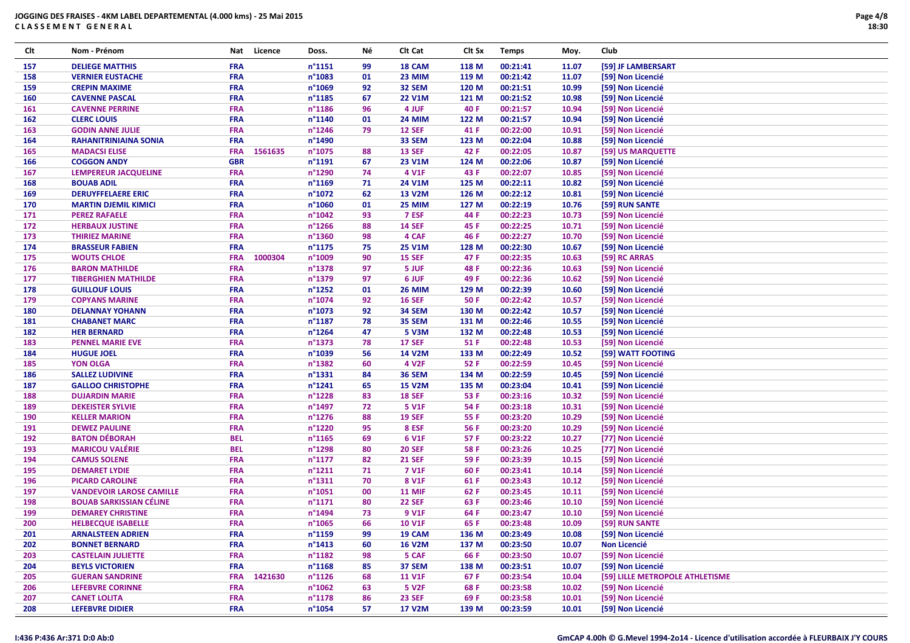| Clt | Nom - Prénom                    | Nat        | Licence | Doss.            | Νé | Clt Cat           | Clt Sx | <b>Temps</b> | Moy.  | Club                            |
|-----|---------------------------------|------------|---------|------------------|----|-------------------|--------|--------------|-------|---------------------------------|
| 157 | <b>DELIEGE MATTHIS</b>          | <b>FRA</b> |         | $n^{\circ}1151$  | 99 | 18 CAM            | 118 M  | 00:21:41     | 11.07 | [59] JF LAMBERSART              |
| 158 | <b>VERNIER EUSTACHE</b>         | <b>FRA</b> |         | n°1083           | 01 | 23 MIM            | 119 M  | 00:21:42     | 11.07 | [59] Non Licencié               |
| 159 | <b>CREPIN MAXIME</b>            | <b>FRA</b> |         | n°1069           | 92 | 32 SEM            | 120 M  | 00:21:51     | 10.99 | [59] Non Licencié               |
| 160 | <b>CAVENNE PASCAL</b>           | <b>FRA</b> |         | n°1185           | 67 | <b>22 V1M</b>     | 121 M  | 00:21:52     | 10.98 | [59] Non Licencié               |
| 161 | <b>CAVENNE PERRINE</b>          | <b>FRA</b> |         | n°1186           | 96 | 4 JUF             | 40 F   | 00:21:57     | 10.94 | [59] Non Licencié               |
| 162 | <b>CLERC LOUIS</b>              | FRA        |         | n°1140           | 01 | <b>24 MIM</b>     | 122 M  | 00:21:57     | 10.94 | [59] Non Licencié               |
| 163 | <b>GODIN ANNE JULIE</b>         | <b>FRA</b> |         | $n^{\circ}$ 1246 | 79 | <b>12 SEF</b>     | 41 F   | 00:22:00     | 10.91 | [59] Non Licencié               |
| 164 | <b>RAHANITRINIAINA SONIA</b>    | <b>FRA</b> |         | n°1490           |    | 33 SEM            | 123 M  | 00:22:04     | 10.88 | [59] Non Licencié               |
| 165 | <b>MADACSI ELISE</b>            | <b>FRA</b> | 1561635 | n°1075           | 88 | <b>13 SEF</b>     | 42 F   | 00:22:05     | 10.87 | [59] US MARQUETTE               |
| 166 | <b>COGGON ANDY</b>              | <b>GBR</b> |         | n°1191           | 67 | <b>23 V1M</b>     | 124 M  | 00:22:06     | 10.87 | [59] Non Licencié               |
| 167 | LEMPEREUR JACQUELINE            | <b>FRA</b> |         | n°1290           | 74 | 4 V1F             | 43 F   | 00:22:07     | 10.85 | [59] Non Licencié               |
| 168 | <b>BOUAB ADIL</b>               | <b>FRA</b> |         | n°1169           | 71 | 24 V1M            | 125 M  | 00:22:11     | 10.82 | [59] Non Licencié               |
| 169 | <b>DERUYFFELAERE ERIC</b>       | <b>FRA</b> |         | n°1072           | 62 | <b>13 V2M</b>     | 126 M  | 00:22:12     | 10.81 | [59] Non Licencié               |
| 170 | <b>MARTIN DJEMIL KIMICI</b>     | <b>FRA</b> |         | n°1060           | 01 | 25 MIM            | 127 M  | 00:22:19     | 10.76 | [59] RUN SANTE                  |
| 171 | <b>PEREZ RAFAELE</b>            | <b>FRA</b> |         | n°1042           | 93 | 7 ESF             | 44 F   | 00:22:23     | 10.73 | [59] Non Licencié               |
| 172 | <b>HERBAUX JUSTINE</b>          | <b>FRA</b> |         | n°1266           | 88 | <b>14 SEF</b>     | 45 F   | 00:22:25     | 10.71 | [59] Non Licencié               |
| 173 | <b>THIRIEZ MARINE</b>           | <b>FRA</b> |         | n°1360           | 98 | 4 CAF             | 46 F   | 00:22:27     | 10.70 | [59] Non Licencié               |
| 174 | <b>BRASSEUR FABIEN</b>          | <b>FRA</b> |         | n°1175           | 75 | <b>25 V1M</b>     | 128 M  | 00:22:30     | 10.67 | [59] Non Licencié               |
| 175 | <b>WOUTS CHLOE</b>              | <b>FRA</b> | 1000304 | n°1009           | 90 | <b>15 SEF</b>     | 47 F   | 00:22:35     | 10.63 | [59] RC ARRAS                   |
| 176 | <b>BARON MATHILDE</b>           | FRA        |         | n°1378           | 97 | 5 JUF             | 48 F   | 00:22:36     | 10.63 | [59] Non Licencié               |
| 177 | <b>TIBERGHIEN MATHILDE</b>      | <b>FRA</b> |         | n°1379           | 97 | 6 JUF             | 49 F   | 00:22:36     | 10.62 | [59] Non Licencié               |
| 178 | <b>GUILLOUF LOUIS</b>           | <b>FRA</b> |         | n°1252           | 01 | <b>26 MIM</b>     | 129 M  | 00:22:39     | 10.60 | [59] Non Licencié               |
| 179 | <b>COPYANS MARINE</b>           | <b>FRA</b> |         | n°1074           | 92 | <b>16 SEF</b>     | 50 F   | 00:22:42     | 10.57 | [59] Non Licencié               |
| 180 | <b>DELANNAY YOHANN</b>          | <b>FRA</b> |         | n°1073           | 92 | <b>34 SEM</b>     | 130 M  | 00:22:42     | 10.57 | [59] Non Licencié               |
| 181 | <b>CHABANET MARC</b>            | <b>FRA</b> |         | n°1187           | 78 | 35 SEM            | 131 M  | 00:22:46     | 10.55 | [59] Non Licencié               |
| 182 | <b>HER BERNARD</b>              | <b>FRA</b> |         | n°1264           | 47 | 5 V3M             | 132 M  | 00:22:48     | 10.53 | [59] Non Licencié               |
| 183 | <b>PENNEL MARIE EVE</b>         | <b>FRA</b> |         | n°1373           | 78 | <b>17 SEF</b>     | 51 F   | 00:22:48     | 10.53 | [59] Non Licencié               |
| 184 | <b>HUGUE JOEL</b>               | <b>FRA</b> |         | n°1039           | 56 | <b>14 V2M</b>     | 133 M  | 00:22:49     | 10.52 | [59] WATT FOOTING               |
| 185 | <b>YON OLGA</b>                 | <b>FRA</b> |         | n°1382           | 60 | 4 V <sub>2F</sub> | 52 F   | 00:22:59     | 10.45 | [59] Non Licencié               |
| 186 | <b>SALLEZ LUDIVINE</b>          | <b>FRA</b> |         | n°1331           | 84 | <b>36 SEM</b>     | 134 M  | 00:22:59     | 10.45 | [59] Non Licencié               |
| 187 | <b>GALLOO CHRISTOPHE</b>        | <b>FRA</b> |         | n°1241           | 65 | <b>15 V2M</b>     | 135 M  | 00:23:04     | 10.41 | [59] Non Licencié               |
| 188 | <b>DUJARDIN MARIE</b>           | <b>FRA</b> |         | n°1228           | 83 | <b>18 SEF</b>     | 53 F   | 00:23:16     | 10.32 | [59] Non Licencié               |
| 189 | <b>DEKEISTER SYLVIE</b>         | <b>FRA</b> |         | n°1497           | 72 | 5 V1F             | 54 F   | 00:23:18     | 10.31 | [59] Non Licencié               |
| 190 | <b>KELLER MARION</b>            | <b>FRA</b> |         | n°1276           | 88 | <b>19 SEF</b>     | 55 F   | 00:23:20     | 10.29 | [59] Non Licencié               |
| 191 | <b>DEWEZ PAULINE</b>            | <b>FRA</b> |         | n°1220           | 95 | 8 ESF             | 56 F   | 00:23:20     | 10.29 | [59] Non Licencié               |
| 192 | <b>BATON DÉBORAH</b>            | <b>BEL</b> |         | n°1165           | 69 | 6 V1F             | 57 F   | 00:23:22     | 10.27 | [77] Non Licencié               |
| 193 | <b>MARICOU VALÉRIE</b>          | <b>BEL</b> |         | n°1298           | 80 | <b>20 SEF</b>     | 58 F   | 00:23:26     | 10.25 | [77] Non Licencié               |
| 194 | <b>CAMUS SOLENE</b>             | <b>FRA</b> |         | $n^{\circ}1177$  | 82 | <b>21 SEF</b>     | 59 F   | 00:23:39     | 10.15 | [59] Non Licencié               |
| 195 | <b>DEMARET LYDIE</b>            | <b>FRA</b> |         | $n^{\circ}1211$  | 71 | <b>7 V1F</b>      | 60 F   | 00:23:41     | 10.14 | [59] Non Licencié               |
| 196 | <b>PICARD CAROLINE</b>          | <b>FRA</b> |         | $n^{\circ}1311$  | 70 | 8 V1F             | 61 F   | 00:23:43     | 10.12 | [59] Non Licencié               |
| 197 | <b>VANDEVOIR LAROSE CAMILLE</b> | <b>FRA</b> |         | n°1051           | 00 | <b>11 MIF</b>     | 62 F   | 00:23:45     | 10.11 | [59] Non Licencié               |
| 198 | <b>BOUAB SARKISSIAN CÉLINE</b>  | <b>FRA</b> |         | $n^{\circ}1171$  | 80 | <b>22 SEF</b>     | 63 F   | 00:23:46     | 10.10 | [59] Non Licencié               |
| 199 | <b>DEMAREY CHRISTINE</b>        | <b>FRA</b> |         | n°1494           | 73 | 9 V1F             | 64 F   | 00:23:47     | 10.10 | [59] Non Licencié               |
| 200 | <b>HELBECQUE ISABELLE</b>       | <b>FRA</b> |         | n°1065           | 66 | <b>10 V1F</b>     | 65 F   | 00:23:48     | 10.09 | [59] RUN SANTE                  |
| 201 | <b>ARNALSTEEN ADRIEN</b>        | <b>FRA</b> |         | n°1159           | 99 | 19 CAM            | 136 M  | 00:23:49     | 10.08 | [59] Non Licencié               |
| 202 | <b>BONNET BERNARD</b>           | <b>FRA</b> |         | $n^{\circ}$ 1413 | 60 | <b>16 V2M</b>     | 137 M  | 00:23:50     | 10.07 | <b>Non Licencié</b>             |
| 203 | <b>CASTELAIN JULIETTE</b>       | <b>FRA</b> |         | n°1182           | 98 | 5 CAF             | 66 F   | 00:23:50     | 10.07 | [59] Non Licencié               |
| 204 | <b>BEYLS VICTORIEN</b>          | <b>FRA</b> |         | $n^{\circ}$ 1168 | 85 | 37 SEM            | 138 M  | 00:23:51     | 10.07 | [59] Non Licencié               |
| 205 | <b>GUERAN SANDRINE</b>          | <b>FRA</b> | 1421630 | $n^{\circ}1126$  | 68 | <b>11 V1F</b>     | 67 F   | 00:23:54     | 10.04 | [59] LILLE METROPOLE ATHLETISME |
| 206 | <b>LEFEBVRE CORINNE</b>         | <b>FRA</b> |         | n°1062           | 63 | <b>5 V2F</b>      | 68 F   | 00:23:58     | 10.02 | [59] Non Licencié               |
| 207 | <b>CANET LOLITA</b>             | <b>FRA</b> |         | n°1178           | 86 | <b>23 SEF</b>     | 69 F   | 00:23:58     | 10.01 | [59] Non Licencié               |
| 208 | <b>LEFEBVRE DIDIER</b>          | <b>FRA</b> |         | n°1054           | 57 | <b>17 V2M</b>     | 139 M  | 00:23:59     | 10.01 | [59] Non Licencié               |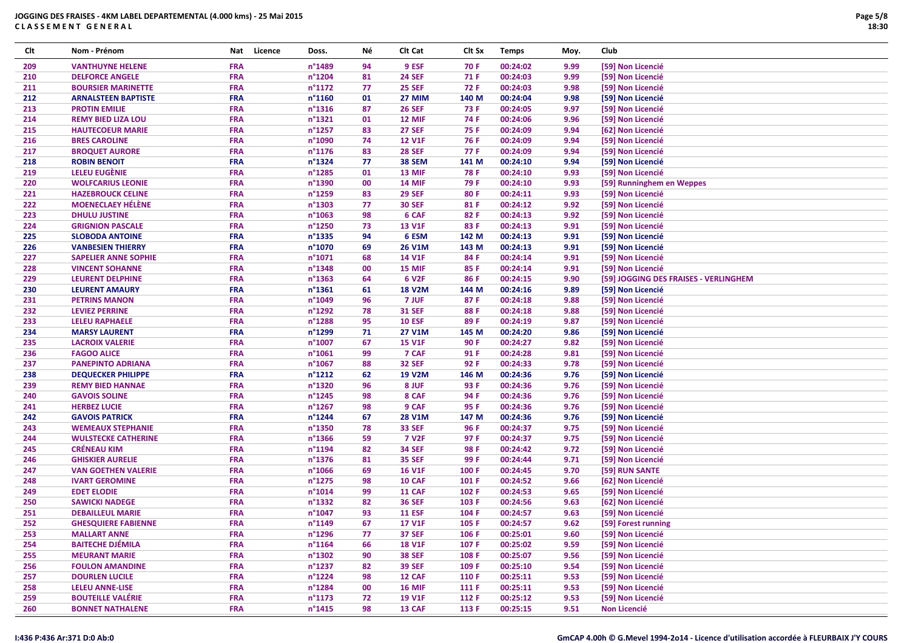| Clt | Nom - Prénom                | Nat        | Licence | Doss.            | Νé | CIt Cat       | Clt Sx | <b>Temps</b> | Moy. | Club                                  |
|-----|-----------------------------|------------|---------|------------------|----|---------------|--------|--------------|------|---------------------------------------|
| 209 | <b>VANTHUYNE HELENE</b>     | FRA        |         | n°1489           | 94 | 9 ESF         | 70 F   | 00:24:02     | 9.99 | [59] Non Licencié                     |
| 210 | <b>DELFORCE ANGELE</b>      | <b>FRA</b> |         | n°1204           | 81 | <b>24 SEF</b> | 71 F   | 00:24:03     | 9.99 | [59] Non Licencié                     |
| 211 | <b>BOURSIER MARINETTE</b>   | <b>FRA</b> |         | n°1172           | 77 | <b>25 SEF</b> | 72 F   | 00:24:03     | 9.98 | [59] Non Licencié                     |
| 212 | <b>ARNALSTEEN BAPTISTE</b>  | <b>FRA</b> |         | n°1160           | 01 | <b>27 MIM</b> | 140 M  | 00:24:04     | 9.98 | [59] Non Licencié                     |
| 213 | <b>PROTIN EMILIE</b>        | <b>FRA</b> |         | n°1316           | 87 | <b>26 SEF</b> | 73 F   | 00:24:05     | 9.97 | [59] Non Licencié                     |
| 214 | <b>REMY BIED LIZA LOU</b>   | <b>FRA</b> |         | n°1321           | 01 | 12 MIF        | 74 F   | 00:24:06     | 9.96 | [59] Non Licencié                     |
| 215 | <b>HAUTECOEUR MARIE</b>     | <b>FRA</b> |         | n°1257           | 83 | <b>27 SEF</b> | 75 F   | 00:24:09     | 9.94 | [62] Non Licencié                     |
| 216 | <b>BRES CAROLINE</b>        | <b>FRA</b> |         | n°1090           | 74 | <b>12 V1F</b> | 76 F   | 00:24:09     | 9.94 | [59] Non Licencié                     |
| 217 | <b>BROQUET AURORE</b>       | <b>FRA</b> |         | n°1176           | 83 | <b>28 SEF</b> | 77 F   | 00:24:09     | 9.94 | [59] Non Licencié                     |
| 218 | <b>ROBIN BENOIT</b>         | <b>FRA</b> |         | n°1324           | 77 | 38 SEM        | 141 M  | 00:24:10     | 9.94 | [59] Non Licencié                     |
| 219 | LELEU EUGÈNIE               | <b>FRA</b> |         | n°1285           | 01 | 13 MIF        | 78 F   | 00:24:10     | 9.93 | [59] Non Licencié                     |
| 220 | <b>WOLFCARIUS LEONIE</b>    | FRA        |         | n°1390           | 00 | <b>14 MIF</b> | 79 F   | 00:24:10     | 9.93 | [59] Runninghem en Weppes             |
| 221 | <b>HAZEBROUCK CELINE</b>    | <b>FRA</b> |         | n°1259           | 83 | <b>29 SEF</b> | 80 F   | 00:24:11     | 9.93 | [59] Non Licencié                     |
| 222 | <b>MOENECLAEY HÉLÈNE</b>    | <b>FRA</b> |         | n°1303           | 77 | <b>30 SEF</b> | 81 F   | 00:24:12     | 9.92 | [59] Non Licencié                     |
| 223 | <b>DHULU JUSTINE</b>        | <b>FRA</b> |         | n°1063           | 98 | 6 CAF         | 82 F   | 00:24:13     | 9.92 | [59] Non Licencié                     |
| 224 | <b>GRIGNION PASCALE</b>     | <b>FRA</b> |         | n°1250           | 73 | <b>13 V1F</b> | 83 F   | 00:24:13     | 9.91 | [59] Non Licencié                     |
| 225 | <b>SLOBODA ANTOINE</b>      | <b>FRA</b> |         | n°1335           | 94 | 6 ESM         | 142 M  | 00:24:13     | 9.91 | [59] Non Licencié                     |
| 226 | <b>VANBESIEN THIERRY</b>    | <b>FRA</b> |         | n°1070           | 69 | <b>26 V1M</b> | 143 M  | 00:24:13     | 9.91 | [59] Non Licencié                     |
| 227 | <b>SAPELIER ANNE SOPHIE</b> | <b>FRA</b> |         | n°1071           | 68 | <b>14 V1F</b> | 84 F   | 00:24:14     | 9.91 | [59] Non Licencié                     |
| 228 | <b>VINCENT SOHANNE</b>      | <b>FRA</b> |         | n°1348           | 00 | 15 MIF        | 85 F   | 00:24:14     | 9.91 | [59] Non Licencié                     |
| 229 | <b>LEURENT DELPHINE</b>     | <b>FRA</b> |         | n°1363           | 64 | 6 V2F         | 86 F   | 00:24:15     | 9.90 | [59] JOGGING DES FRAISES - VERLINGHEM |
| 230 | <b>LEURENT AMAURY</b>       | <b>FRA</b> |         | n°1361           | 61 | <b>18 V2M</b> | 144 M  | 00:24:16     | 9.89 | [59] Non Licencié                     |
| 231 | <b>PETRINS MANON</b>        | <b>FRA</b> |         | n°1049           | 96 | 7 JUF         | 87 F   | 00:24:18     | 9.88 | [59] Non Licencié                     |
| 232 | <b>LEVIEZ PERRINE</b>       | <b>FRA</b> |         | n°1292           | 78 | <b>31 SEF</b> | 88 F   | 00:24:18     | 9.88 | [59] Non Licencié                     |
| 233 | <b>LELEU RAPHAELE</b>       | <b>FRA</b> |         | n°1288           | 95 | <b>10 ESF</b> | 89F    | 00:24:19     | 9.87 | [59] Non Licencié                     |
| 234 | <b>MARSY LAURENT</b>        | <b>FRA</b> |         | n°1299           | 71 | <b>27 V1M</b> | 145 M  | 00:24:20     | 9.86 | [59] Non Licencié                     |
| 235 | <b>LACROIX VALERIE</b>      | <b>FRA</b> |         | n°1007           | 67 | <b>15 V1F</b> | 90 F   | 00:24:27     | 9.82 | [59] Non Licencié                     |
| 236 | <b>FAGOO ALICE</b>          | <b>FRA</b> |         | n°1061           | 99 | 7 CAF         | 91 F   | 00:24:28     | 9.81 | [59] Non Licencié                     |
| 237 | <b>PANEPINTO ADRIANA</b>    | <b>FRA</b> |         | n°1067           | 88 | <b>32 SEF</b> | 92 F   | 00:24:33     | 9.78 | [59] Non Licencié                     |
| 238 | <b>DEQUECKER PHILIPPE</b>   | <b>FRA</b> |         | n°1212           | 62 | <b>19 V2M</b> | 146 M  | 00:24:36     | 9.76 | [59] Non Licencié                     |
| 239 | <b>REMY BIED HANNAE</b>     | <b>FRA</b> |         | n°1320           | 96 | 8 JUF         | 93 F   | 00:24:36     | 9.76 | [59] Non Licencié                     |
| 240 | <b>GAVOIS SOLINE</b>        | <b>FRA</b> |         | n°1245           | 98 | 8 CAF         | 94 F   | 00:24:36     | 9.76 | [59] Non Licencié                     |
| 241 | <b>HERBEZ LUCIE</b>         | <b>FRA</b> |         | n°1267           | 98 | 9 CAF         | 95 F   | 00:24:36     | 9.76 | [59] Non Licencié                     |
| 242 | <b>GAVOIS PATRICK</b>       | FRA        |         | n°1244           | 67 | <b>28 V1M</b> | 147 M  | 00:24:36     | 9.76 | [59] Non Licencié                     |
| 243 | <b>WEMEAUX STEPHANIE</b>    | <b>FRA</b> |         | n°1350           | 78 | <b>33 SEF</b> | 96 F   | 00:24:37     | 9.75 | [59] Non Licencié                     |
| 244 | <b>WULSTECKE CATHERINE</b>  | <b>FRA</b> |         | n°1366           | 59 | <b>7 V2F</b>  | 97 F   | 00:24:37     | 9.75 | [59] Non Licencié                     |
| 245 | <b>CRÉNEAU KIM</b>          | <b>FRA</b> |         | n°1194           | 82 | <b>34 SEF</b> | 98 F   | 00:24:42     | 9.72 | [59] Non Licencié                     |
| 246 | <b>GHISKIER AURELIE</b>     | <b>FRA</b> |         | n°1376           | 81 | <b>35 SEF</b> | 99 F   | 00:24:44     | 9.71 | [59] Non Licencié                     |
| 247 | <b>VAN GOETHEN VALERIE</b>  | <b>FRA</b> |         | n°1066           | 69 | <b>16 V1F</b> | 100 F  | 00:24:45     | 9.70 | [59] RUN SANTE                        |
| 248 | <b>IVART GEROMINE</b>       | FRA        |         | n°1275           | 98 | 10 CAF        | 101 F  | 00:24:52     | 9.66 | [62] Non Licencié                     |
| 249 | <b>EDET ELODIE</b>          | <b>FRA</b> |         | n°1014           | 99 | <b>11 CAF</b> | 102 F  | 00:24:53     | 9.65 | [59] Non Licencié                     |
| 250 | <b>SAWICKI NADEGE</b>       | <b>FRA</b> |         | n°1332           | 82 | <b>36 SEF</b> | 103 F  | 00:24:56     | 9.63 | [62] Non Licencié                     |
| 251 | <b>DEBAILLEUL MARIE</b>     | <b>FRA</b> |         | n°1047           | 93 | <b>11 ESF</b> | 104 F  | 00:24:57     | 9.63 | [59] Non Licencié                     |
| 252 | <b>GHESQUIERE FABIENNE</b>  | <b>FRA</b> |         | n°1149           | 67 | <b>17 V1F</b> | 105 F  | 00:24:57     | 9.62 | [59] Forest running                   |
| 253 | <b>MALLART ANNE</b>         | <b>FRA</b> |         | n°1296           | 77 | <b>37 SEF</b> | 106 F  | 00:25:01     | 9.60 | [59] Non Licencié                     |
| 254 | <b>BAITECHE DJÉMILA</b>     | <b>FRA</b> |         | $n^{\circ}$ 1164 | 66 | <b>18 V1F</b> | 107 F  | 00:25:02     | 9.59 | [59] Non Licencié                     |
| 255 | <b>MEURANT MARIE</b>        | <b>FRA</b> |         | n°1302           | 90 | <b>38 SEF</b> | 108 F  | 00:25:07     | 9.56 | [59] Non Licencié                     |
| 256 | <b>FOULON AMANDINE</b>      | <b>FRA</b> |         | $n^{\circ}$ 1237 | 82 | <b>39 SEF</b> | 109 F  | 00:25:10     | 9.54 | [59] Non Licencié                     |
| 257 | <b>DOURLEN LUCILE</b>       | <b>FRA</b> |         | $n^{\circ}$ 1224 | 98 | 12 CAF        | 110 F  | 00:25:11     | 9.53 | [59] Non Licencié                     |
| 258 | <b>LELEU ANNE-LISE</b>      | <b>FRA</b> |         | $n^{\circ}$ 1284 | 00 | <b>16 MIF</b> | 111 F  | 00:25:11     | 9.53 | [59] Non Licencié                     |
| 259 | <b>BOUTEILLE VALÉRIE</b>    | <b>FRA</b> |         | $n^{\circ}$ 1173 | 72 | <b>19 V1F</b> | 112 F  | 00:25:12     | 9.53 | [59] Non Licencié                     |
| 260 | <b>BONNET NATHALENE</b>     | <b>FRA</b> |         | $n^{\circ}$ 1415 | 98 | <b>13 CAF</b> | 113 F  | 00:25:15     | 9.51 | <b>Non Licencié</b>                   |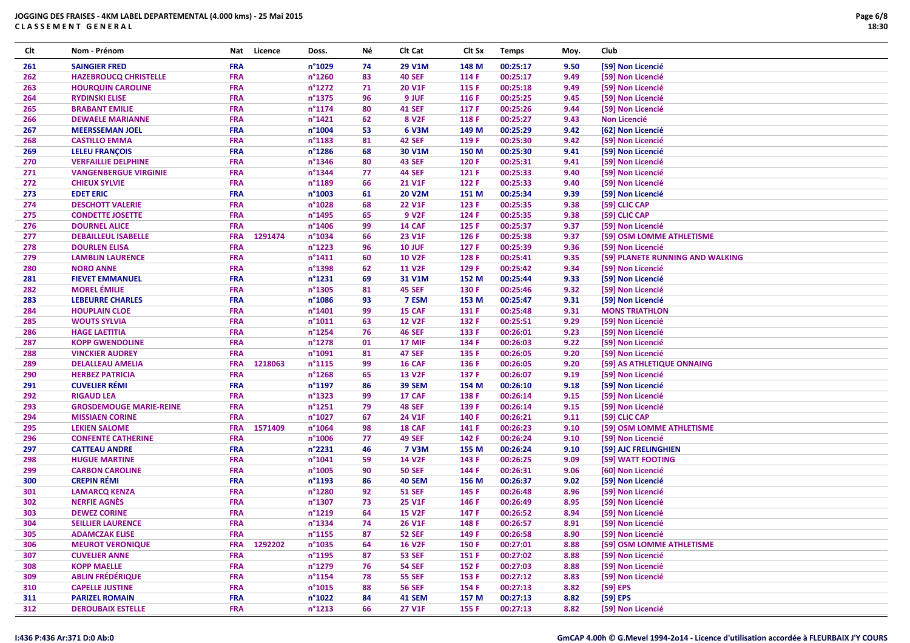| Clt | Nom - Prénom                   | Nat        | Licence | Doss.            | Νé | Clt Cat           | Clt Sx | <b>Temps</b> | Moy. | Club                             |
|-----|--------------------------------|------------|---------|------------------|----|-------------------|--------|--------------|------|----------------------------------|
| 261 | <b>SAINGIER FRED</b>           | <b>FRA</b> |         | n°1029           | 74 | <b>29 V1M</b>     | 148 M  | 00:25:17     | 9.50 | [59] Non Licencié                |
| 262 | <b>HAZEBROUCQ CHRISTELLE</b>   | <b>FRA</b> |         | n°1260           | 83 | <b>40 SEF</b>     | 114 F  | 00:25:17     | 9.49 | [59] Non Licencié                |
| 263 | <b>HOURQUIN CAROLINE</b>       | <b>FRA</b> |         | $n^{\circ}$ 1272 | 71 | <b>20 V1F</b>     | 115 F  | 00:25:18     | 9.49 | [59] Non Licencié                |
| 264 | <b>RYDINSKI ELISE</b>          | <b>FRA</b> |         | n°1375           | 96 | 9 JUF             | 116 F  | 00:25:25     | 9.45 | [59] Non Licencié                |
| 265 | <b>BRABANT EMILIE</b>          | <b>FRA</b> |         | n°1174           | 80 | <b>41 SEF</b>     | 117 F  | 00:25:26     | 9.44 | [59] Non Licencié                |
| 266 | <b>DEWAELE MARIANNE</b>        | <b>FRA</b> |         | n°1421           | 62 | 8 V <sub>2F</sub> | 118 F  | 00:25:27     | 9.43 | <b>Non Licencié</b>              |
| 267 | <b>MEERSSEMAN JOEL</b>         | <b>FRA</b> |         | n°1004           | 53 | 6 V3M             | 149 M  | 00:25:29     | 9.42 | [62] Non Licencié                |
| 268 | <b>CASTILLO EMMA</b>           | <b>FRA</b> |         | n°1183           | 81 | <b>42 SEF</b>     | 119 F  | 00:25:30     | 9.42 | [59] Non Licencié                |
| 269 | <b>LELEU FRANÇOIS</b>          | <b>FRA</b> |         | $n^{\circ}$ 1286 | 68 | 30 V1M            | 150 M  | 00:25:30     | 9.41 | [59] Non Licencié                |
| 270 | <b>VERFAILLIE DELPHINE</b>     | <b>FRA</b> |         | n°1346           | 80 | <b>43 SEF</b>     | 120 F  | 00:25:31     | 9.41 | [59] Non Licencié                |
| 271 | <b>VANGENBERGUE VIRGINIE</b>   | <b>FRA</b> |         | n°1344           | 77 | <b>44 SEF</b>     | 121 F  | 00:25:33     | 9.40 | [59] Non Licencié                |
| 272 | <b>CHIEUX SYLVIE</b>           | <b>FRA</b> |         | n°1189           | 66 | <b>21 V1F</b>     | 122 F  | 00:25:33     | 9.40 | [59] Non Licencié                |
| 273 | <b>EDET ERIC</b>               | <b>FRA</b> |         | n°1003           | 61 | <b>20 V2M</b>     | 151 M  | 00:25:34     | 9.39 | [59] Non Licencié                |
| 274 | <b>DESCHOTT VALERIE</b>        | <b>FRA</b> |         | n°1028           | 68 | <b>22 V1F</b>     | 123 F  | 00:25:35     | 9.38 | [59] CLIC CAP                    |
| 275 | <b>CONDETTE JOSETTE</b>        | <b>FRA</b> |         | n°1495           | 65 | <b>9 V2F</b>      | 124 F  | 00:25:35     | 9.38 | [59] CLIC CAP                    |
| 276 | <b>DOURNEL ALICE</b>           | <b>FRA</b> |         | n°1406           | 99 | 14 CAF            | 125 F  | 00:25:37     | 9.37 | [59] Non Licencié                |
| 277 | <b>DEBAILLEUL ISABELLE</b>     | <b>FRA</b> | 1291474 | n°1034           | 66 | <b>23 V1F</b>     | 126 F  | 00:25:38     | 9.37 | [59] OSM LOMME ATHLETISME        |
| 278 | <b>DOURLEN ELISA</b>           | <b>FRA</b> |         | n°1223           | 96 | <b>10 JUF</b>     | 127 F  | 00:25:39     | 9.36 | [59] Non Licencié                |
| 279 | <b>LAMBLIN LAURENCE</b>        | <b>FRA</b> |         | $n^{\circ}1411$  | 60 | <b>10 V2F</b>     | 128 F  | 00:25:41     | 9.35 | [59] PLANETE RUNNING AND WALKING |
| 280 | <b>NORO ANNE</b>               | <b>FRA</b> |         | n°1398           | 62 | <b>11 V2F</b>     | 129 F  | 00:25:42     | 9.34 | [59] Non Licencié                |
| 281 | <b>FIEVET EMMANUEL</b>         | <b>FRA</b> |         | n°1231           | 69 | 31 V1M            | 152 M  | 00:25:44     | 9.33 | [59] Non Licencié                |
| 282 | <b>MOREL ÉMILIE</b>            | <b>FRA</b> |         | n°1305           | 81 | <b>45 SEF</b>     | 130 F  | 00:25:46     | 9.32 | [59] Non Licencié                |
| 283 | <b>LEBEURRE CHARLES</b>        | <b>FRA</b> |         | $n^{\circ}$ 1086 | 93 | 7 ESM             | 153 M  | 00:25:47     | 9.31 | [59] Non Licencié                |
| 284 | <b>HOUPLAIN CLOE</b>           | <b>FRA</b> |         | n°1401           | 99 | 15 CAF            | 131 F  | 00:25:48     | 9.31 | <b>MONS TRIATHLON</b>            |
| 285 | <b>WOUTS SYLVIA</b>            | <b>FRA</b> |         | n°1011           | 63 | <b>12 V2F</b>     | 132 F  | 00:25:51     | 9.29 | [59] Non Licencié                |
| 286 | <b>HAGE LAETITIA</b>           | <b>FRA</b> |         | n°1254           | 76 | <b>46 SEF</b>     | 133 F  | 00:26:01     | 9.23 | [59] Non Licencié                |
| 287 | <b>KOPP GWENDOLINE</b>         | <b>FRA</b> |         | n°1278           | 01 | 17 MIF            | 134 F  | 00:26:03     | 9.22 | [59] Non Licencié                |
| 288 | <b>VINCKIER AUDREY</b>         | <b>FRA</b> |         | n°1091           | 81 | <b>47 SEF</b>     | 135 F  | 00:26:05     | 9.20 | [59] Non Licencié                |
| 289 | <b>DELALLEAU AMELIA</b>        | <b>FRA</b> | 1218063 | $n^{\circ}1115$  | 99 | 16 CAF            | 136 F  | 00:26:05     | 9.20 | [59] AS ATHLETIQUE ONNAING       |
| 290 | <b>HERBEZ PATRICIA</b>         | <b>FRA</b> |         | n°1268           | 65 | <b>13 V2F</b>     | 137 F  | 00:26:07     | 9.19 | [59] Non Licencié                |
| 291 | <b>CUVELIER RÉMI</b>           | FRA        |         | n°1197           | 86 | <b>39 SEM</b>     | 154 M  | 00:26:10     | 9.18 | [59] Non Licencié                |
| 292 | <b>RIGAUD LEA</b>              | <b>FRA</b> |         | n°1323           | 99 | 17 CAF            | 138 F  | 00:26:14     | 9.15 | [59] Non Licencié                |
| 293 | <b>GROSDEMOUGE MARIE-REINE</b> | <b>FRA</b> |         | n°1251           | 79 | <b>48 SEF</b>     | 139 F  | 00:26:14     | 9.15 | [59] Non Licencié                |
| 294 | <b>MISSIAEN CORINE</b>         | <b>FRA</b> |         | n°1027           | 67 | 24 V1F            | 140 F  | 00:26:21     | 9.11 | [59] CLIC CAP                    |
| 295 | <b>LEKIEN SALOME</b>           | <b>FRA</b> | 1571409 | n°1064           | 98 | 18 CAF            | 141 F  | 00:26:23     | 9.10 | [59] OSM LOMME ATHLETISME        |
| 296 | <b>CONFENTE CATHERINE</b>      | <b>FRA</b> |         | n°1006           | 77 | <b>49 SEF</b>     | 142 F  | 00:26:24     | 9.10 | [59] Non Licencié                |
| 297 | <b>CATTEAU ANDRE</b>           | <b>FRA</b> |         | n°2231           | 46 | <b>7 V3M</b>      | 155 M  | 00:26:24     | 9.10 | [59] AJC FRELINGHIEN             |
| 298 | <b>HUGUE MARTINE</b>           | <b>FRA</b> |         | n°1041           | 59 | <b>14 V2F</b>     | 143 F  | 00:26:25     | 9.09 | [59] WATT FOOTING                |
| 299 | <b>CARBON CAROLINE</b>         | <b>FRA</b> |         | n°1005           | 90 | <b>50 SEF</b>     | 144 F  | 00:26:31     | 9.06 | [60] Non Licencié                |
| 300 | <b>CREPIN RÉMI</b>             | <b>FRA</b> |         | n°1193           | 86 | <b>40 SEM</b>     | 156 M  | 00:26:37     | 9.02 | [59] Non Licencié                |
| 301 | <b>LAMARCQ KENZA</b>           | <b>FRA</b> |         | n°1280           | 92 | <b>51 SEF</b>     | 145 F  | 00:26:48     | 8.96 | [59] Non Licencié                |
| 302 | <b>NERFIE AGNÈS</b>            | <b>FRA</b> |         | n°1307           | 73 | <b>25 V1F</b>     | 146 F  | 00:26:49     | 8.95 | [59] Non Licencié                |
| 303 | <b>DEWEZ CORINE</b>            | <b>FRA</b> |         | n°1219           | 64 | <b>15 V2F</b>     | 147 F  | 00:26:52     | 8.94 | [59] Non Licencié                |
| 304 | <b>SEILLIER LAURENCE</b>       | <b>FRA</b> |         | n°1334           | 74 | <b>26 V1F</b>     | 148 F  | 00:26:57     | 8.91 | [59] Non Licencié                |
| 305 | <b>ADAMCZAK ELISE</b>          | <b>FRA</b> |         | $n^{\circ}$ 1155 | 87 | <b>52 SEF</b>     | 149 F  | 00:26:58     | 8.90 | [59] Non Licencié                |
| 306 | <b>MEUROT VERONIQUE</b>        | <b>FRA</b> | 1292202 | $n^{\circ}$ 1035 | 64 | <b>16 V2F</b>     | 150 F  | 00:27:01     | 8.88 | [59] OSM LOMME ATHLETISME        |
| 307 | <b>CUVELIER ANNE</b>           | <b>FRA</b> |         | $n^{\circ}$ 1195 | 87 | <b>53 SEF</b>     | 151 F  | 00:27:02     | 8.88 | [59] Non Licencié                |
| 308 | <b>KOPP MAELLE</b>             | <b>FRA</b> |         | $n^{\circ}$ 1279 | 76 | <b>54 SEF</b>     | 152 F  | 00:27:03     | 8.88 | [59] Non Licencié                |
| 309 | <b>ABLIN FRÉDÉRIQUE</b>        | <b>FRA</b> |         | $n^{\circ}$ 1154 | 78 | <b>55 SEF</b>     | 153 F  | 00:27:12     | 8.83 | [59] Non Licencié                |
| 310 | <b>CAPELLE JUSTINE</b>         | <b>FRA</b> |         | $n^{\circ}1015$  | 88 | <b>56 SEF</b>     | 154 F  | 00:27:13     | 8.82 | $[59]$ EPS                       |
| 311 | <b>PARIZEL ROMAIN</b>          | <b>FRA</b> |         | $n^{\circ}1022$  | 84 | <b>41 SEM</b>     | 157 M  | 00:27:13     | 8.82 | [59] EPS                         |
| 312 | <b>DEROUBAIX ESTELLE</b>       | <b>FRA</b> |         | $n^{\circ}1213$  | 66 | 27 V1F            | 155 F  | 00:27:13     | 8.82 | [59] Non Licencié                |
|     |                                |            |         |                  |    |                   |        |              |      |                                  |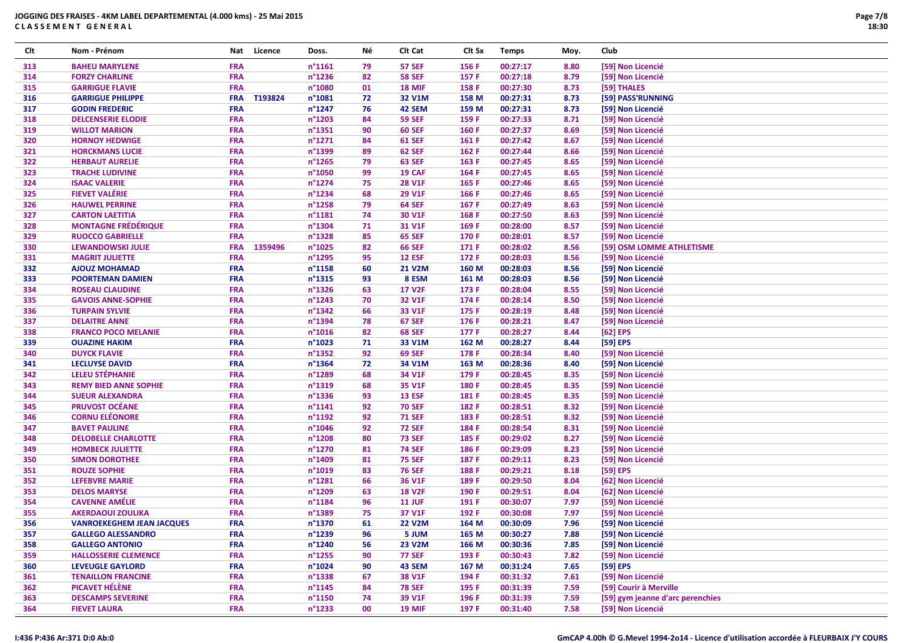| Clt | Nom - Prénom                     | Nat        | Licence | Doss.            | Νé | Clt Cat       | Clt Sx | <b>Temps</b> | Moy. | Club                             |
|-----|----------------------------------|------------|---------|------------------|----|---------------|--------|--------------|------|----------------------------------|
| 313 | <b>BAHEU MARYLENE</b>            | <b>FRA</b> |         | $n^{\circ}1161$  | 79 | <b>57 SEF</b> | 156 F  | 00:27:17     | 8.80 | [59] Non Licencié                |
| 314 | <b>FORZY CHARLINE</b>            | <b>FRA</b> |         | $n^{\circ}$ 1236 | 82 | <b>58 SEF</b> | 157 F  | 00:27:18     | 8.79 | [59] Non Licencié                |
| 315 | <b>GARRIGUE FLAVIE</b>           | <b>FRA</b> |         | n°1080           | 01 | <b>18 MIF</b> | 158 F  | 00:27:30     | 8.73 | [59] THALES                      |
| 316 | <b>GARRIGUE PHILIPPE</b>         | <b>FRA</b> | T193824 | n°1081           | 72 | 32 V1M        | 158 M  | 00:27:31     | 8.73 | [59] PASS'RUNNING                |
| 317 | <b>GODIN FREDERIC</b>            | <b>FRA</b> |         | n°1247           | 76 | 42 SEM        | 159 M  | 00:27:31     | 8.73 | [59] Non Licencié                |
| 318 | <b>DELCENSERIE ELODIE</b>        | <b>FRA</b> |         | n°1203           | 84 | <b>59 SEF</b> | 159 F  | 00:27:33     | 8.71 | [59] Non Licencié                |
| 319 | <b>WILLOT MARION</b>             | <b>FRA</b> |         | $n^{\circ}$ 1351 | 90 | <b>60 SEF</b> | 160 F  | 00:27:37     | 8.69 | [59] Non Licencié                |
| 320 | <b>HORNOY HEDWIGE</b>            | <b>FRA</b> |         | n°1271           | 84 | <b>61 SEF</b> | 161 F  | 00:27:42     | 8.67 | [59] Non Licencié                |
| 321 | <b>HORCKMANS LUCIE</b>           | <b>FRA</b> |         | n°1399           | 89 | <b>62 SEF</b> | 162 F  | 00:27:44     | 8.66 | [59] Non Licencié                |
| 322 | <b>HERBAUT AURELIE</b>           | <b>FRA</b> |         | n°1265           | 79 | <b>63 SEF</b> | 163 F  | 00:27:45     | 8.65 | [59] Non Licencié                |
| 323 | <b>TRACHE LUDIVINE</b>           | <b>FRA</b> |         | n°1050           | 99 | 19 CAF        | 164 F  | 00:27:45     | 8.65 | [59] Non Licencié                |
| 324 | <b>ISAAC VALERIE</b>             | <b>FRA</b> |         | $n^{\circ}$ 1274 | 75 | <b>28 V1F</b> | 165 F  | 00:27:46     | 8.65 | [59] Non Licencié                |
| 325 | <b>FIEVET VALÉRIE</b>            | <b>FRA</b> |         | n°1234           | 68 | 29 V1F        | 166 F  | 00:27:46     | 8.65 | [59] Non Licencié                |
| 326 | <b>HAUWEL PERRINE</b>            | <b>FRA</b> |         | $n^{\circ}$ 1258 | 79 | <b>64 SEF</b> | 167 F  | 00:27:49     | 8.63 | [59] Non Licencié                |
| 327 | <b>CARTON LAETITIA</b>           | <b>FRA</b> |         | $n^{\circ}1181$  | 74 | 30 V1F        | 168 F  | 00:27:50     | 8.63 | [59] Non Licencié                |
| 328 | <b>MONTAGNE FRÉDÉRIQUE</b>       | <b>FRA</b> |         | n°1304           | 71 | 31 V1F        | 169 F  | 00:28:00     | 8.57 | [59] Non Licencié                |
| 329 | <b>RUOCCO GABRIELLE</b>          | <b>FRA</b> |         | n°1328           | 85 | <b>65 SEF</b> | 170 F  | 00:28:01     | 8.57 | [59] Non Licencié                |
| 330 | <b>LEWANDOWSKI JULIE</b>         | <b>FRA</b> | 1359496 | n°1025           | 82 | <b>66 SEF</b> | 171 F  | 00:28:02     | 8.56 | [59] OSM LOMME ATHLETISME        |
| 331 | <b>MAGRIT JULIETTE</b>           | <b>FRA</b> |         | n°1295           | 95 | <b>12 ESF</b> | 172 F  | 00:28:03     | 8.56 | [59] Non Licencié                |
| 332 | <b>AJOUZ MOHAMAD</b>             | <b>FRA</b> |         | n°1158           | 60 | <b>21 V2M</b> | 160 M  | 00:28:03     | 8.56 | [59] Non Licencié                |
| 333 | <b>POORTEMAN DAMIEN</b>          | <b>FRA</b> |         | n°1315           | 93 | 8 ESM         | 161 M  | 00:28:03     | 8.56 | [59] Non Licencié                |
| 334 | <b>ROSEAU CLAUDINE</b>           | <b>FRA</b> |         | n°1326           | 63 | <b>17 V2F</b> | 173 F  | 00:28:04     | 8.55 | [59] Non Licencié                |
| 335 | <b>GAVOIS ANNE-SOPHIE</b>        | <b>FRA</b> |         | n°1243           | 70 | 32 V1F        | 174 F  | 00:28:14     | 8.50 | [59] Non Licencié                |
| 336 | <b>TURPAIN SYLVIE</b>            | <b>FRA</b> |         | $n^{\circ}$ 1342 | 66 | 33 V1F        | 175 F  | 00:28:19     | 8.48 | [59] Non Licencié                |
| 337 | <b>DELAITRE ANNE</b>             | <b>FRA</b> |         | n°1394           | 78 | <b>67 SEF</b> | 176 F  | 00:28:21     | 8.47 | [59] Non Licencié                |
| 338 | <b>FRANCO POCO MELANIE</b>       | <b>FRA</b> |         | $n^{\circ}1016$  | 82 | <b>68 SEF</b> | 177 F  | 00:28:27     | 8.44 | $[62]$ EPS                       |
| 339 | <b>OUAZINE HAKIM</b>             | <b>FRA</b> |         | $n^{\circ}$ 1023 | 71 | 33 V1M        | 162 M  | 00:28:27     | 8.44 | [59] EPS                         |
| 340 | <b>DUYCK FLAVIE</b>              | <b>FRA</b> |         | n°1352           | 92 | <b>69 SEF</b> | 178 F  | 00:28:34     | 8.40 | [59] Non Licencié                |
| 341 | <b>LECLUYSE DAVID</b>            | <b>FRA</b> |         | $n^{\circ}$ 1364 | 72 | 34 V1M        | 163 M  | 00:28:36     | 8.40 | [59] Non Licencié                |
| 342 | <b>LELEU STÉPHANIE</b>           | <b>FRA</b> |         | n°1289           | 68 | 34 V1F        | 179 F  | 00:28:45     | 8.35 | [59] Non Licencié                |
| 343 | <b>REMY BIED ANNE SOPHIE</b>     | <b>FRA</b> |         | n°1319           | 68 | 35 V1F        | 180 F  | 00:28:45     | 8.35 | [59] Non Licencié                |
| 344 | <b>SUEUR ALEXANDRA</b>           | <b>FRA</b> |         | $n^{\circ}$ 1336 | 93 | <b>13 ESF</b> | 181 F  | 00:28:45     | 8.35 | [59] Non Licencié                |
| 345 | <b>PRUVOST OCÉANE</b>            | <b>FRA</b> |         | $n^{\circ}1141$  | 92 | <b>70 SEF</b> | 182 F  | 00:28:51     | 8.32 | [59] Non Licencié                |
| 346 | <b>CORNU ELÉONORE</b>            | <b>FRA</b> |         | n°1192           | 92 | <b>71 SEF</b> | 183 F  | 00:28:51     | 8.32 | [59] Non Licencié                |
| 347 | <b>BAVET PAULINE</b>             | <b>FRA</b> |         | $n^{\circ}$ 1046 | 92 | <b>72 SEF</b> | 184 F  | 00:28:54     | 8.31 | [59] Non Licencié                |
| 348 | <b>DELOBELLE CHARLOTTE</b>       | <b>FRA</b> |         | n°1208           | 80 | <b>73 SEF</b> | 185 F  | 00:29:02     | 8.27 | [59] Non Licencié                |
| 349 | <b>HOMBECK JULIETTE</b>          | <b>FRA</b> |         | n°1270           | 81 | <b>74 SEF</b> | 186 F  | 00:29:09     | 8.23 | [59] Non Licencié                |
| 350 | <b>SIMON DOROTHEE</b>            | <b>FRA</b> |         | n°1409           | 81 | <b>75 SEF</b> | 187 F  | 00:29:11     | 8.23 | [59] Non Licencié                |
| 351 | <b>ROUZE SOPHIE</b>              | <b>FRA</b> |         | n°1019           | 83 | <b>76 SEF</b> | 188 F  | 00:29:21     | 8.18 | $[59]$ EPS                       |
| 352 | <b>LEFEBVRE MARIE</b>            | <b>FRA</b> |         | n°1281           | 66 | 36 V1F        | 189 F  | 00:29:50     | 8.04 | [62] Non Licencié                |
| 353 | <b>DELOS MARYSE</b>              | <b>FRA</b> |         | n°1209           | 63 | <b>18 V2F</b> | 190 F  | 00:29:51     | 8.04 | [62] Non Licencié                |
| 354 | <b>CAVENNE AMÉLIE</b>            | <b>FRA</b> |         | n°1184           | 96 | <b>11 JUF</b> | 191 F  | 00:30:07     | 7.97 | [59] Non Licencié                |
| 355 | <b>AKERDAOUI ZOULIKA</b>         | <b>FRA</b> |         | n°1389           | 75 | 37 V1F        | 192 F  | 00:30:08     | 7.97 | [59] Non Licencié                |
| 356 | <b>VANROEKEGHEM JEAN JACQUES</b> | <b>FRA</b> |         | n°1370           | 61 | <b>22 V2M</b> | 164 M  | 00:30:09     | 7.96 | [59] Non Licencié                |
| 357 | <b>GALLEGO ALESSANDRO</b>        | <b>FRA</b> |         | n°1239           | 96 | 5 JUM         | 165 M  | 00:30:27     | 7.88 | [59] Non Licencié                |
| 358 | <b>GALLEGO ANTONIO</b>           | <b>FRA</b> |         | $n^{\circ}$ 1240 | 56 | <b>23 V2M</b> | 166 M  | 00:30:36     | 7.85 | [59] Non Licencié                |
| 359 | <b>HALLOSSERIE CLEMENCE</b>      | <b>FRA</b> |         | $n^{\circ}$ 1255 | 90 | <b>77 SEF</b> | 193 F  | 00:30:43     | 7.82 | [59] Non Licencié                |
| 360 | <b>LEVEUGLE GAYLORD</b>          | <b>FRA</b> |         | $n^{\circ}1024$  | 90 | 43 SEM        | 167 M  | 00:31:24     | 7.65 | $[59]$ EPS                       |
| 361 | <b>TENAILLON FRANCINE</b>        | <b>FRA</b> |         | $n^{\circ}$ 1338 | 67 | 38 V1F        | 194 F  | 00:31:32     | 7.61 | [59] Non Licencié                |
| 362 | PICAVET HÉLÈNE                   | <b>FRA</b> |         | $n^{\circ}$ 1145 | 84 | <b>78 SEF</b> | 195 F  | 00:31:39     | 7.59 | [59] Courir à Merville           |
| 363 | <b>DESCAMPS SEVERINE</b>         | <b>FRA</b> |         | $n^{\circ}$ 1150 | 74 | 39 V1F        | 196 F  | 00:31:39     | 7.59 | [59] gym jeanne d'arc perenchies |
| 364 | <b>FIEVET LAURA</b>              | <b>FRA</b> |         | $n^{\circ}$ 1233 | 00 | <b>19 MIF</b> | 197 F  | 00:31:40     | 7.58 | [59] Non Licencié                |